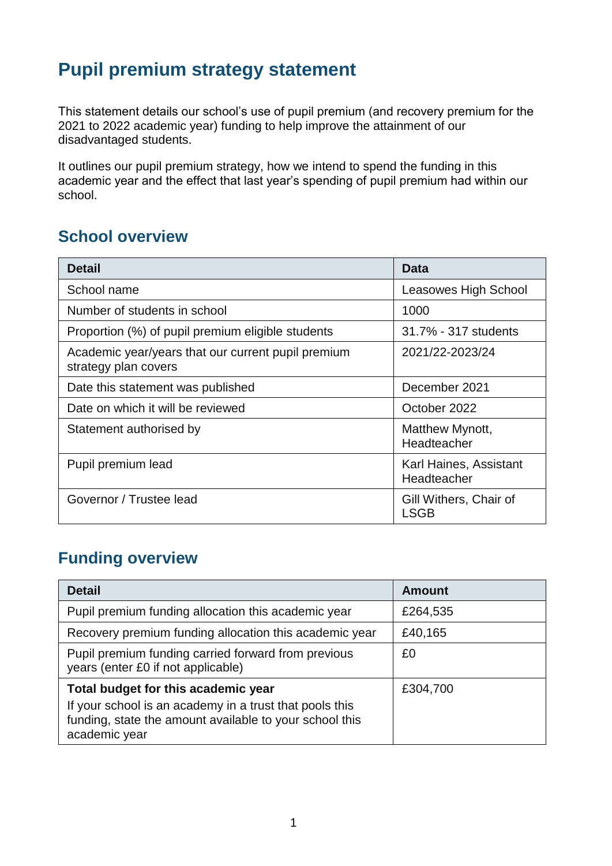## **Pupil premium strategy statement**

This statement details our school's use of pupil premium (and recovery premium for the 2021 to 2022 academic year) funding to help improve the attainment of our disadvantaged students.

It outlines our pupil premium strategy, how we intend to spend the funding in this academic year and the effect that last year's spending of pupil premium had within our school.

#### **School overview**

| <b>Detail</b>                                                              | Data                                  |
|----------------------------------------------------------------------------|---------------------------------------|
| School name                                                                | Leasowes High School                  |
| Number of students in school                                               | 1000                                  |
| Proportion (%) of pupil premium eligible students                          | 31.7% - 317 students                  |
| Academic year/years that our current pupil premium<br>strategy plan covers | 2021/22-2023/24                       |
| Date this statement was published                                          | December 2021                         |
| Date on which it will be reviewed                                          | October 2022                          |
| Statement authorised by                                                    | Matthew Mynott,<br>Headteacher        |
| Pupil premium lead                                                         | Karl Haines, Assistant<br>Headteacher |
| Governor / Trustee lead                                                    | Gill Withers, Chair of<br><b>LSGB</b> |

## **Funding overview**

| <b>Detail</b>                                                                                                                       | <b>Amount</b> |
|-------------------------------------------------------------------------------------------------------------------------------------|---------------|
| Pupil premium funding allocation this academic year                                                                                 | £264,535      |
| Recovery premium funding allocation this academic year                                                                              | £40,165       |
| Pupil premium funding carried forward from previous<br>years (enter £0 if not applicable)                                           | £0            |
| Total budget for this academic year                                                                                                 | £304,700      |
| If your school is an academy in a trust that pools this<br>funding, state the amount available to your school this<br>academic year |               |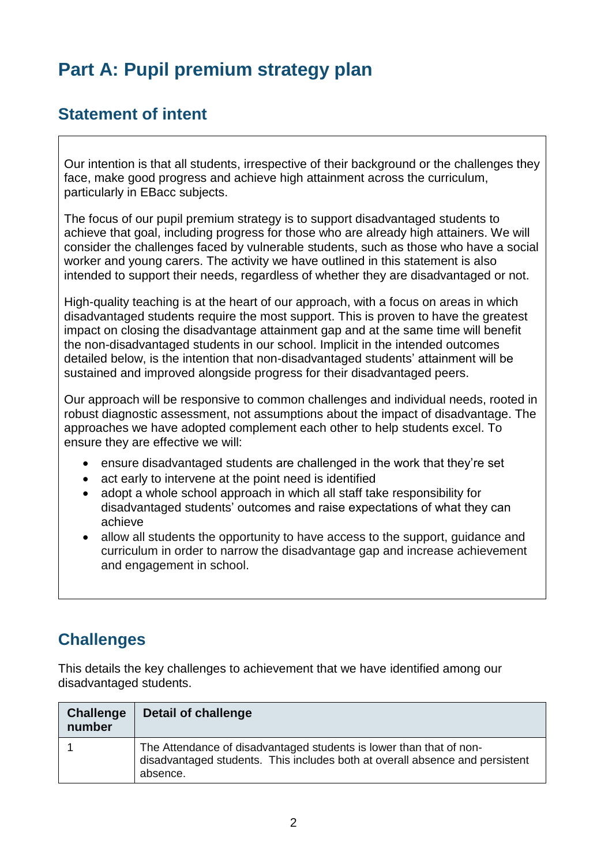# **Part A: Pupil premium strategy plan**

### **Statement of intent**

Our intention is that all students, irrespective of their background or the challenges they face, make good progress and achieve high attainment across the curriculum, particularly in EBacc subjects.

The focus of our pupil premium strategy is to support disadvantaged students to achieve that goal, including progress for those who are already high attainers. We will consider the challenges faced by vulnerable students, such as those who have a social worker and young carers. The activity we have outlined in this statement is also intended to support their needs, regardless of whether they are disadvantaged or not.

High-quality teaching is at the heart of our approach, with a focus on areas in which disadvantaged students require the most support. This is proven to have the greatest impact on closing the disadvantage attainment gap and at the same time will benefit the non-disadvantaged students in our school. Implicit in the intended outcomes detailed below, is the intention that non-disadvantaged students' attainment will be sustained and improved alongside progress for their disadvantaged peers.

Our approach will be responsive to common challenges and individual needs, rooted in robust diagnostic assessment, not assumptions about the impact of disadvantage. The approaches we have adopted complement each other to help students excel. To ensure they are effective we will:

- ensure disadvantaged students are challenged in the work that they're set
- act early to intervene at the point need is identified
- adopt a whole school approach in which all staff take responsibility for disadvantaged students' outcomes and raise expectations of what they can achieve
- allow all students the opportunity to have access to the support, guidance and curriculum in order to narrow the disadvantage gap and increase achievement and engagement in school.

### **Challenges**

This details the key challenges to achievement that we have identified among our disadvantaged students.

| Challenge<br>number | Detail of challenge                                                                                                                                             |
|---------------------|-----------------------------------------------------------------------------------------------------------------------------------------------------------------|
|                     | The Attendance of disadvantaged students is lower than that of non-<br>disadvantaged students. This includes both at overall absence and persistent<br>absence. |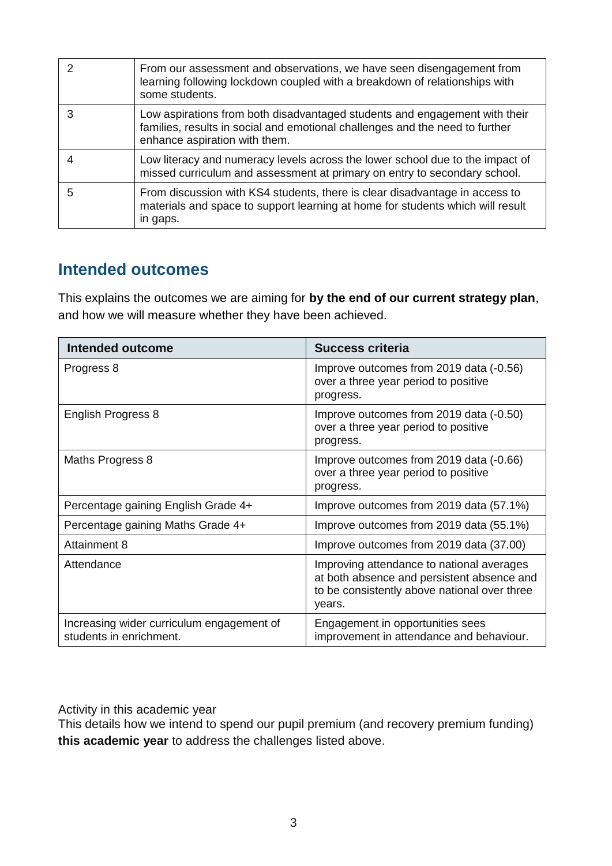| っ | From our assessment and observations, we have seen disengagement from<br>learning following lockdown coupled with a breakdown of relationships with<br>some students.                       |
|---|---------------------------------------------------------------------------------------------------------------------------------------------------------------------------------------------|
| 3 | Low aspirations from both disadvantaged students and engagement with their<br>families, results in social and emotional challenges and the need to further<br>enhance aspiration with them. |
|   | Low literacy and numeracy levels across the lower school due to the impact of<br>missed curriculum and assessment at primary on entry to secondary school.                                  |
| 5 | From discussion with KS4 students, there is clear disadvantage in access to<br>materials and space to support learning at home for students which will result<br>in gaps.                   |

#### **Intended outcomes**

This explains the outcomes we are aiming for **by the end of our current strategy plan**, and how we will measure whether they have been achieved.

| <b>Intended outcome</b>                                              | <b>Success criteria</b>                                                                                                                           |
|----------------------------------------------------------------------|---------------------------------------------------------------------------------------------------------------------------------------------------|
| Progress 8                                                           | Improve outcomes from 2019 data (-0.56)<br>over a three year period to positive<br>progress.                                                      |
| English Progress 8                                                   | Improve outcomes from 2019 data (-0.50)<br>over a three year period to positive<br>progress.                                                      |
| Maths Progress 8                                                     | Improve outcomes from 2019 data (-0.66)<br>over a three year period to positive<br>progress.                                                      |
| Percentage gaining English Grade 4+                                  | Improve outcomes from 2019 data (57.1%)                                                                                                           |
| Percentage gaining Maths Grade 4+                                    | Improve outcomes from 2019 data (55.1%)                                                                                                           |
| Attainment 8                                                         | Improve outcomes from 2019 data (37.00)                                                                                                           |
| Attendance                                                           | Improving attendance to national averages<br>at both absence and persistent absence and<br>to be consistently above national over three<br>years. |
| Increasing wider curriculum engagement of<br>students in enrichment. | Engagement in opportunities sees<br>improvement in attendance and behaviour.                                                                      |

Activity in this academic year

This details how we intend to spend our pupil premium (and recovery premium funding) **this academic year** to address the challenges listed above.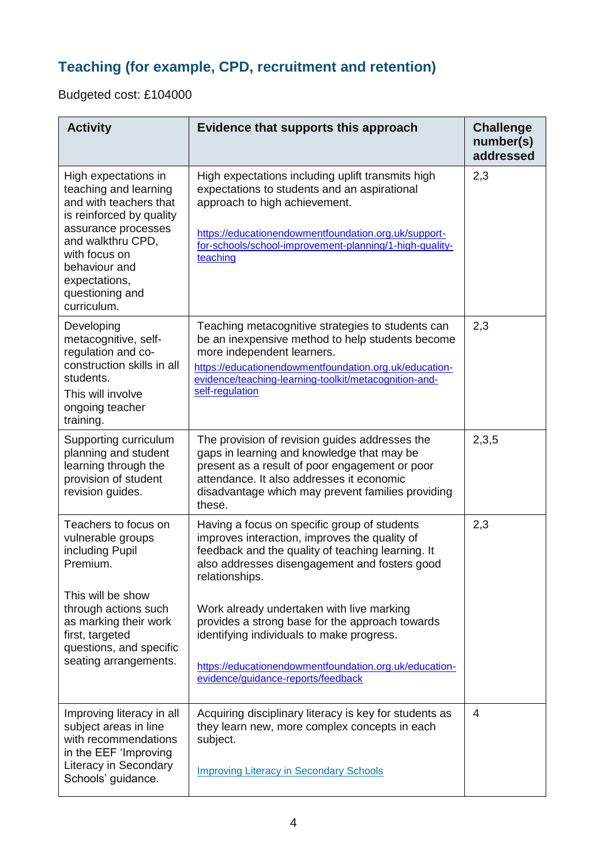## **Teaching (for example, CPD, recruitment and retention)**

Budgeted cost: £104000

| <b>Activity</b>                                                                                                                                                                                                                      | Evidence that supports this approach                                                                                                                                                                                                                                      | <b>Challenge</b><br>number(s)<br>addressed |
|--------------------------------------------------------------------------------------------------------------------------------------------------------------------------------------------------------------------------------------|---------------------------------------------------------------------------------------------------------------------------------------------------------------------------------------------------------------------------------------------------------------------------|--------------------------------------------|
| High expectations in<br>teaching and learning<br>and with teachers that<br>is reinforced by quality<br>assurance processes<br>and walkthru CPD,<br>with focus on<br>behaviour and<br>expectations,<br>questioning and<br>curriculum. | High expectations including uplift transmits high<br>expectations to students and an aspirational<br>approach to high achievement.<br>https://educationendowmentfoundation.org.uk/support-<br>for-schools/school-improvement-planning/1-high-quality-<br>teaching         | 2,3                                        |
| Developing<br>metacognitive, self-<br>regulation and co-<br>construction skills in all<br>students.<br>This will involve<br>ongoing teacher<br>training.                                                                             | Teaching metacognitive strategies to students can<br>be an inexpensive method to help students become<br>more independent learners.<br>https://educationendowmentfoundation.org.uk/education-<br>evidence/teaching-learning-toolkit/metacognition-and-<br>self-regulation | 2,3                                        |
| Supporting curriculum<br>planning and student<br>learning through the<br>provision of student<br>revision guides.                                                                                                                    | The provision of revision guides addresses the<br>gaps in learning and knowledge that may be<br>present as a result of poor engagement or poor<br>attendance. It also addresses it economic<br>disadvantage which may prevent families providing<br>these.                | 2,3,5                                      |
| Teachers to focus on<br>vulnerable groups<br>including Pupil<br>Premium.                                                                                                                                                             | Having a focus on specific group of students<br>improves interaction, improves the quality of<br>feedback and the quality of teaching learning. It<br>also addresses disengagement and fosters good<br>relationships.                                                     | 2,3                                        |
| This will be show<br>through actions such<br>as marking their work<br>first, targeted<br>questions, and specific<br>seating arrangements.                                                                                            | Work already undertaken with live marking<br>provides a strong base for the approach towards<br>identifying individuals to make progress.<br>https://educationendowmentfoundation.org.uk/education-<br>evidence/guidance-reports/feedback                                 |                                            |
| Improving literacy in all<br>subject areas in line<br>with recommendations<br>in the EEF 'Improving<br>Literacy in Secondary<br>Schools' guidance.                                                                                   | Acquiring disciplinary literacy is key for students as<br>they learn new, more complex concepts in each<br>subject.<br><b>Improving Literacy in Secondary Schools</b>                                                                                                     | 4                                          |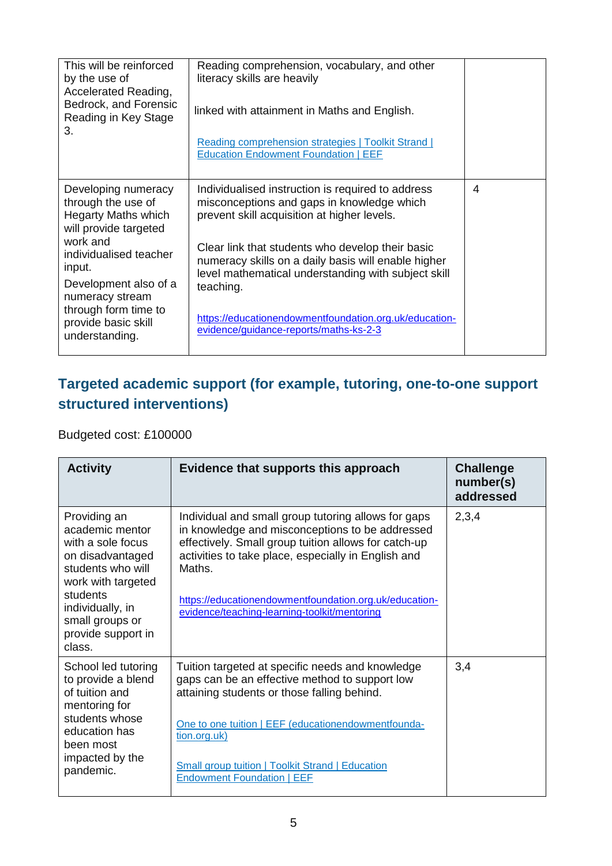| This will be reinforced<br>by the use of<br>Accelerated Reading,<br>Bedrock, and Forensic<br>Reading in Key Stage<br>3.                                                                                                                                       | Reading comprehension, vocabulary, and other<br>literacy skills are heavily<br>linked with attainment in Maths and English.<br>Reading comprehension strategies   Toolkit Strand  <br><b>Education Endowment Foundation   EEF</b>                                                                                                                                                                                                 |   |
|---------------------------------------------------------------------------------------------------------------------------------------------------------------------------------------------------------------------------------------------------------------|-----------------------------------------------------------------------------------------------------------------------------------------------------------------------------------------------------------------------------------------------------------------------------------------------------------------------------------------------------------------------------------------------------------------------------------|---|
| Developing numeracy<br>through the use of<br><b>Hegarty Maths which</b><br>will provide targeted<br>work and<br>individualised teacher<br>input.<br>Development also of a<br>numeracy stream<br>through form time to<br>provide basic skill<br>understanding. | Individualised instruction is required to address<br>misconceptions and gaps in knowledge which<br>prevent skill acquisition at higher levels.<br>Clear link that students who develop their basic<br>numeracy skills on a daily basis will enable higher<br>level mathematical understanding with subject skill<br>teaching.<br>https://educationendowmentfoundation.org.uk/education-<br>evidence/guidance-reports/maths-ks-2-3 | 4 |

### **Targeted academic support (for example, tutoring, one-to-one support structured interventions)**

Budgeted cost: £100000

| <b>Activity</b>                                                                                                                                                                                        | Evidence that supports this approach                                                                                                                                                                                                                                                                                                      | <b>Challenge</b><br>number(s)<br>addressed |
|--------------------------------------------------------------------------------------------------------------------------------------------------------------------------------------------------------|-------------------------------------------------------------------------------------------------------------------------------------------------------------------------------------------------------------------------------------------------------------------------------------------------------------------------------------------|--------------------------------------------|
| Providing an<br>academic mentor<br>with a sole focus<br>on disadvantaged<br>students who will<br>work with targeted<br>students<br>individually, in<br>small groups or<br>provide support in<br>class. | Individual and small group tutoring allows for gaps<br>in knowledge and misconceptions to be addressed<br>effectively. Small group tuition allows for catch-up<br>activities to take place, especially in English and<br>Maths.<br>https://educationendowmentfoundation.org.uk/education-<br>evidence/teaching-learning-toolkit/mentoring | 2,3,4                                      |
| School led tutoring<br>to provide a blend<br>of tuition and<br>mentoring for<br>students whose<br>education has<br>been most<br>impacted by the<br>pandemic.                                           | Tuition targeted at specific needs and knowledge<br>gaps can be an effective method to support low<br>attaining students or those falling behind.<br>One to one tuition   EEF (educationendowmentfounda-<br>tion.org.uk)                                                                                                                  | 3,4                                        |
|                                                                                                                                                                                                        | <b>Small group tuition   Toolkit Strand   Education</b><br><b>Endowment Foundation   EEF</b>                                                                                                                                                                                                                                              |                                            |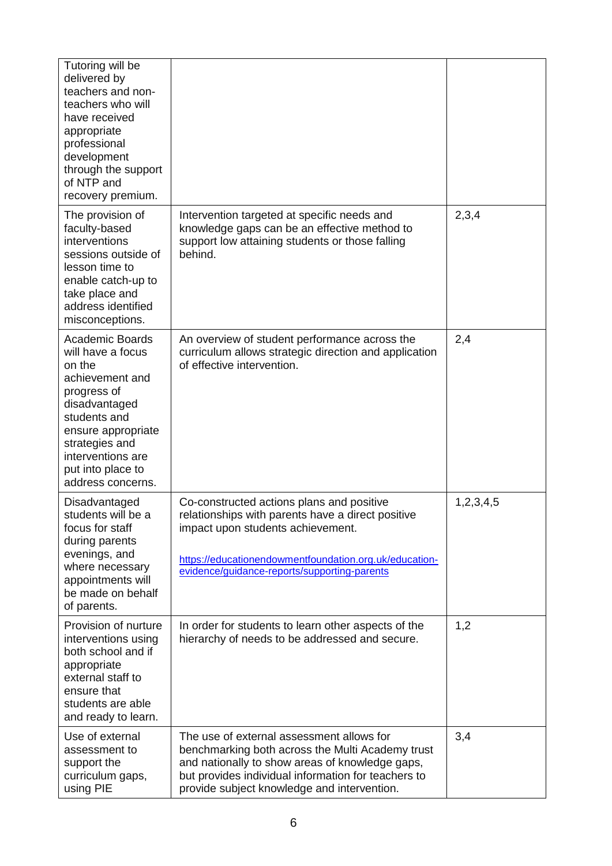| Tutoring will be<br>delivered by<br>teachers and non-<br>teachers who will<br>have received<br>appropriate<br>professional<br>development<br>through the support<br>of NTP and<br>recovery premium.                             |                                                                                                                                                                                                                                                        |           |
|---------------------------------------------------------------------------------------------------------------------------------------------------------------------------------------------------------------------------------|--------------------------------------------------------------------------------------------------------------------------------------------------------------------------------------------------------------------------------------------------------|-----------|
| The provision of<br>faculty-based<br>interventions<br>sessions outside of<br>lesson time to<br>enable catch-up to<br>take place and<br>address identified<br>misconceptions.                                                    | Intervention targeted at specific needs and<br>knowledge gaps can be an effective method to<br>support low attaining students or those falling<br>behind.                                                                                              | 2,3,4     |
| <b>Academic Boards</b><br>will have a focus<br>on the<br>achievement and<br>progress of<br>disadvantaged<br>students and<br>ensure appropriate<br>strategies and<br>interventions are<br>put into place to<br>address concerns. | An overview of student performance across the<br>curriculum allows strategic direction and application<br>of effective intervention.                                                                                                                   | 2,4       |
| Disadvantaged<br>students will be a<br>focus for staff<br>during parents<br>evenings, and<br>where necessary<br>appointments will<br>be made on behalf<br>of parents.                                                           | Co-constructed actions plans and positive<br>relationships with parents have a direct positive<br>impact upon students achievement.<br>https://educationendowmentfoundation.org.uk/education-<br>evidence/guidance-reports/supporting-parents          | 1,2,3,4,5 |
| Provision of nurture<br>interventions using<br>both school and if<br>appropriate<br>external staff to<br>ensure that<br>students are able<br>and ready to learn.                                                                | In order for students to learn other aspects of the<br>hierarchy of needs to be addressed and secure.                                                                                                                                                  | 1,2       |
| Use of external<br>assessment to<br>support the<br>curriculum gaps,<br>using PIE                                                                                                                                                | The use of external assessment allows for<br>benchmarking both across the Multi Academy trust<br>and nationally to show areas of knowledge gaps,<br>but provides individual information for teachers to<br>provide subject knowledge and intervention. | 3,4       |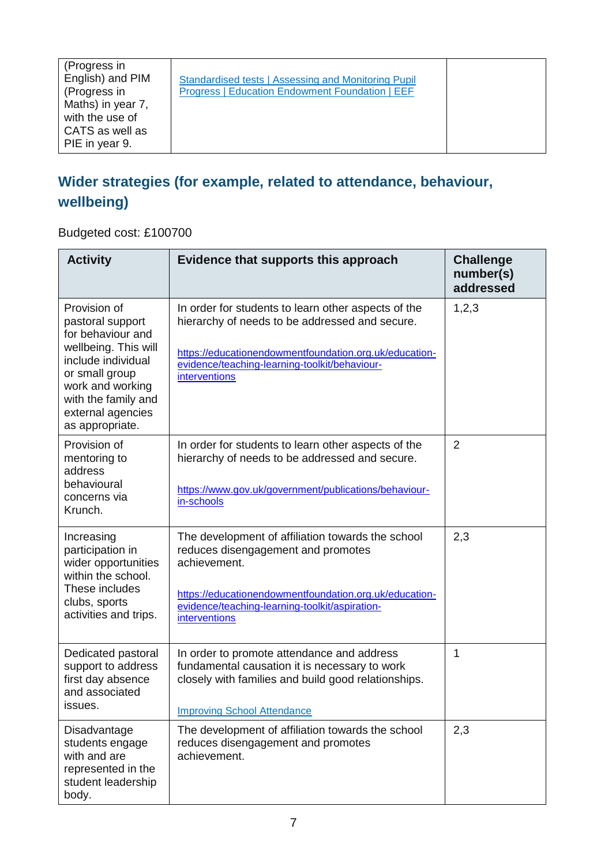| (Progress in<br>English) and PIM<br>Standardised tests   Assessing and Monitoring Pupil<br>(Progress in<br>Progress   Education Endowment Foundation   EEF<br>Maths) in year 7,<br>with the use of<br>CATS as well as<br>PIE in year 9. |
|-----------------------------------------------------------------------------------------------------------------------------------------------------------------------------------------------------------------------------------------|
|-----------------------------------------------------------------------------------------------------------------------------------------------------------------------------------------------------------------------------------------|

### **Wider strategies (for example, related to attendance, behaviour, wellbeing)**

Budgeted cost: £100700

| <b>Activity</b>                                                                                                                                                                                          | Evidence that supports this approach                                                                                                                                                                                                 | <b>Challenge</b><br>number(s)<br>addressed |
|----------------------------------------------------------------------------------------------------------------------------------------------------------------------------------------------------------|--------------------------------------------------------------------------------------------------------------------------------------------------------------------------------------------------------------------------------------|--------------------------------------------|
| Provision of<br>pastoral support<br>for behaviour and<br>wellbeing. This will<br>include individual<br>or small group<br>work and working<br>with the family and<br>external agencies<br>as appropriate. | In order for students to learn other aspects of the<br>hierarchy of needs to be addressed and secure.<br>https://educationendowmentfoundation.org.uk/education-<br>evidence/teaching-learning-toolkit/behaviour-<br>interventions    | 1,2,3                                      |
| Provision of<br>mentoring to<br>address<br>behavioural<br>concerns via<br>Krunch.                                                                                                                        | In order for students to learn other aspects of the<br>hierarchy of needs to be addressed and secure.<br>https://www.gov.uk/government/publications/behaviour-<br>in-schools                                                         | $\overline{2}$                             |
| Increasing<br>participation in<br>wider opportunities<br>within the school.<br>These includes<br>clubs, sports<br>activities and trips.                                                                  | The development of affiliation towards the school<br>reduces disengagement and promotes<br>achievement.<br>https://educationendowmentfoundation.org.uk/education-<br>evidence/teaching-learning-toolkit/aspiration-<br>interventions | 2,3                                        |
| Dedicated pastoral<br>support to address<br>first day absence<br>and associated<br><b>ISSUES.</b>                                                                                                        | In order to promote attendance and address<br>fundamental causation it is necessary to work<br>closely with families and build good relationships.<br><b>Improving School Attendance</b>                                             | 1                                          |
| Disadvantage<br>students engage<br>with and are<br>represented in the<br>student leadership<br>body.                                                                                                     | The development of affiliation towards the school<br>reduces disengagement and promotes<br>achievement.                                                                                                                              | 2,3                                        |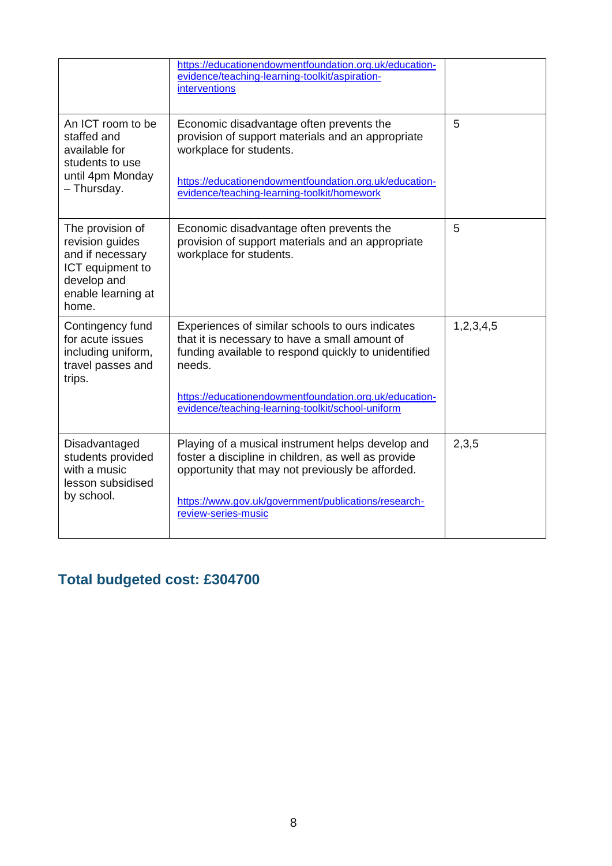|                                                                                                                           | https://educationendowmentfoundation.org.uk/education-<br>evidence/teaching-learning-toolkit/aspiration-<br>interventions                                                                                                                                                           |           |
|---------------------------------------------------------------------------------------------------------------------------|-------------------------------------------------------------------------------------------------------------------------------------------------------------------------------------------------------------------------------------------------------------------------------------|-----------|
| An ICT room to be<br>staffed and<br>available for<br>students to use<br>until 4pm Monday<br>- Thursday.                   | Economic disadvantage often prevents the<br>provision of support materials and an appropriate<br>workplace for students.<br>https://educationendowmentfoundation.org.uk/education-<br>evidence/teaching-learning-toolkit/homework                                                   | 5         |
| The provision of<br>revision guides<br>and if necessary<br>ICT equipment to<br>develop and<br>enable learning at<br>home. | Economic disadvantage often prevents the<br>provision of support materials and an appropriate<br>workplace for students.                                                                                                                                                            | 5         |
| Contingency fund<br>for acute issues<br>including uniform,<br>travel passes and<br>trips.                                 | Experiences of similar schools to ours indicates<br>that it is necessary to have a small amount of<br>funding available to respond quickly to unidentified<br>needs.<br>https://educationendowmentfoundation.org.uk/education-<br>evidence/teaching-learning-toolkit/school-uniform | 1,2,3,4,5 |
| Disadvantaged<br>students provided<br>with a music<br>lesson subsidised<br>by school.                                     | Playing of a musical instrument helps develop and<br>foster a discipline in children, as well as provide<br>opportunity that may not previously be afforded.<br>https://www.gov.uk/government/publications/research-<br>review-series-music                                         | 2,3,5     |

## **Total budgeted cost: £304700**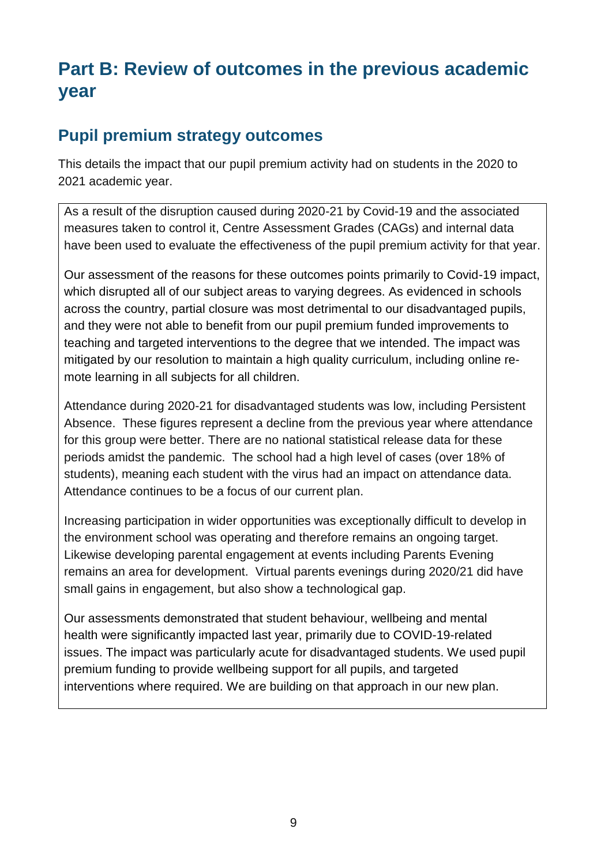## **Part B: Review of outcomes in the previous academic year**

#### **Pupil premium strategy outcomes**

This details the impact that our pupil premium activity had on students in the 2020 to 2021 academic year.

As a result of the disruption caused during 2020-21 by Covid-19 and the associated measures taken to control it, Centre Assessment Grades (CAGs) and internal data have been used to evaluate the effectiveness of the pupil premium activity for that year.

Our assessment of the reasons for these outcomes points primarily to Covid-19 impact, which disrupted all of our subject areas to varying degrees. As evidenced in schools across the country, partial closure was most detrimental to our disadvantaged pupils, and they were not able to benefit from our pupil premium funded improvements to teaching and targeted interventions to the degree that we intended. The impact was mitigated by our resolution to maintain a high quality curriculum, including online remote learning in all subjects for all children.

Attendance during 2020-21 for disadvantaged students was low, including Persistent Absence. These figures represent a decline from the previous year where attendance for this group were better. There are no national statistical release data for these periods amidst the pandemic. The school had a high level of cases (over 18% of students), meaning each student with the virus had an impact on attendance data. Attendance continues to be a focus of our current plan.

Increasing participation in wider opportunities was exceptionally difficult to develop in the environment school was operating and therefore remains an ongoing target. Likewise developing parental engagement at events including Parents Evening remains an area for development. Virtual parents evenings during 2020/21 did have small gains in engagement, but also show a technological gap.

Our assessments demonstrated that student behaviour, wellbeing and mental health were significantly impacted last year, primarily due to COVID-19-related issues. The impact was particularly acute for disadvantaged students. We used pupil premium funding to provide wellbeing support for all pupils, and targeted interventions where required. We are building on that approach in our new plan.